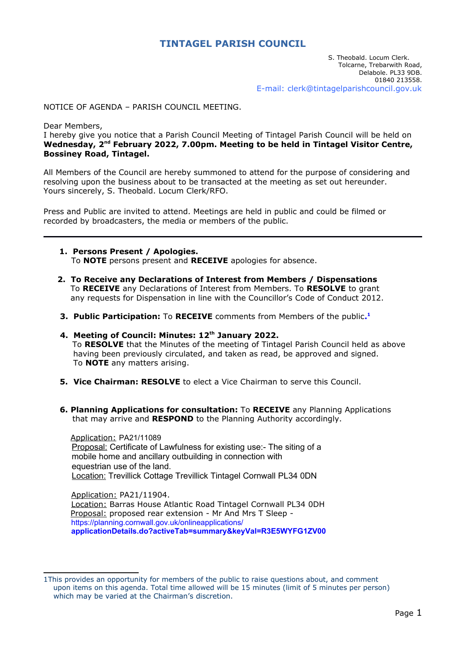# **TINTAGEL PARISH COUNCIL**

### NOTICE OF AGENDA – PARISH COUNCIL MEETING.

Dear Members,

I hereby give you notice that a Parish Council Meeting of Tintagel Parish Council will be held on **Wednesday, 2nd February 2022, 7.00pm. Meeting to be held in Tintagel Visitor Centre, Bossiney Road, Tintagel.**

All Members of the Council are hereby summoned to attend for the purpose of considering and resolving upon the business about to be transacted at the meeting as set out hereunder. Yours sincerely, S. Theobald. Locum Clerk/RFO.

Press and Public are invited to attend. Meetings are held in public and could be filmed or recorded by broadcasters, the media or members of the public.

- **1. Persons Present / Apologies.** To **NOTE** persons present and **RECEIVE** apologies for absence.
- **2. To Receive any Declarations of Interest from Members / Dispensations** To **RECEIVE** any Declarations of Interest from Members. To **RESOLVE** to grant any requests for Dispensation in line with the Councillor's Code of Conduct 2012.
- **3. Public Participation:** To **RECEIVE** comments from Members of the public**. [1](#page-0-1)**
- <span id="page-0-0"></span> **4. Meeting of Council: Minutes: 12th January 2022.** To **RESOLVE** that the Minutes of the meeting of Tintagel Parish Council held as above having been previously circulated, and taken as read, be approved and signed. To **NOTE** any matters arising.
- **5. Vice Chairman: RESOLVE** to elect a Vice Chairman to serve this Council.
- **6. Planning Applications for consultation:** To **RECEIVE** any Planning Applications that may arrive and **RESPOND** to the Planning Authority accordingly.

 Application: PA21/11089 Proposal: Certificate of Lawfulness for existing use:- The siting of a mobile home and ancillary outbuilding in connection with equestrian use of the land. Location: Trevillick Cottage Trevillick Tintagel Cornwall PL34 0DN

Application: PA21/11904. Location: Barras House Atlantic Road Tintagel Cornwall PL34 0DH Proposal: proposed rear extension - Mr And Mrs T Sleep https://planning.cornwall.gov.uk/onlineapplications/ **applicationDetails.do?activeTab=summary&keyVal=R3E5WYFG1ZV00**

<span id="page-0-1"></span>[<sup>1</sup>](#page-0-0)This provides an opportunity for members of the public to raise questions about, and comment upon items on this agenda. Total time allowed will be 15 minutes (limit of 5 minutes per person) which may be varied at the Chairman's discretion.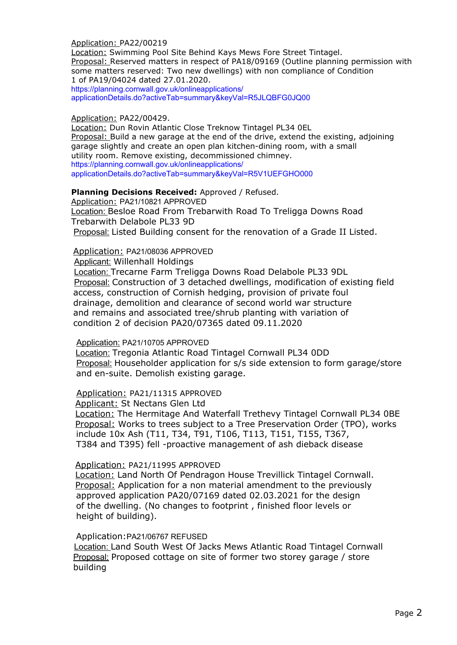Application: PA22/00219

Location: Swimming Pool Site Behind Kays Mews Fore Street Tintagel. Proposal: Reserved matters in respect of PA18/09169 (Outline planning permission with some matters reserved: Two new dwellings) with non compliance of Condition 1 of PA19/04024 dated 27.01.2020.

https://planning.cornwall.gov.uk/onlineapplications/ applicationDetails.do?activeTab=summary&keyVal=R5JLQBFG0JQ00

Application: PA22/00429.

Location: Dun Rovin Atlantic Close Treknow Tintagel PL34 0EL Proposal: Build a new garage at the end of the drive, extend the existing, adjoining garage slightly and create an open plan kitchen-dining room, with a small utility room. Remove existing, decommissioned chimney. https://planning.cornwall.gov.uk/onlineapplications/ applicationDetails.do?activeTab=summary&keyVal=R5V1UEFGHO000

## **Planning Decisions Received:** Approved / Refused.

Application: PA21/10821 APPROVED Location: Besloe Road From Trebarwith Road To Treligga Downs Road Trebarwith Delabole PL33 9D Proposal: Listed Building consent for the renovation of a Grade II Listed.

Application: PA21/08036 APPROVED

Applicant: Willenhall Holdings

Location: Trecarne Farm Treligga Downs Road Delabole PL33 9DL Proposal: Construction of 3 detached dwellings, modification of existing field access, construction of Cornish hedging, provision of private foul drainage, demolition and clearance of second world war structure and remains and associated tree/shrub planting with variation of condition 2 of decision PA20/07365 dated 09.11.2020

#### Application: PA21/10705 APPROVED

Location: Tregonia Atlantic Road Tintagel Cornwall PL34 0DD Proposal: Householder application for s/s side extension to form garage/store and en-suite. Demolish existing garage.

Application: PA21/11315 APPROVED

Applicant: St Nectans Glen Ltd

Location: The Hermitage And Waterfall Trethevy Tintagel Cornwall PL34 0BE Proposal: Works to trees subject to a Tree Preservation Order (TPO), works include 10x Ash (T11, T34, T91, T106, T113, T151, T155, T367, T384 and T395) fell -proactive management of ash dieback disease

## Application: PA21/11995 APPROVED

Location: Land North Of Pendragon House Trevillick Tintagel Cornwall. Proposal: Application for a non material amendment to the previously approved application PA20/07169 dated 02.03.2021 for the design of the dwelling. (No changes to footprint , finished floor levels or height of building).

#### Application:PA21/06767 REFUSED

**Location: Land South West Of Jacks Mews Atlantic Road Tintagel Cornwall**  Proposal: Proposed cottage on site of former two storey garage / store building